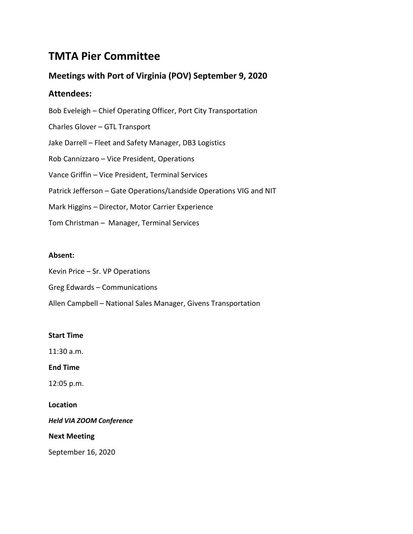# **TMTA Pier Committee**

## **Meetings with Port of Virginia (POV) September 9, 2020**

### **Attendees:**

Bob Eveleigh – Chief Operating Officer, Port City Transportation Charles Glover – GTL Transport Jake Darrell – Fleet and Safety Manager, DB3 Logistics Rob Cannizzaro – Vice President, Operations Vance Griffin – Vice President, Terminal Services Patrick Jefferson – Gate Operations/Landside Operations VIG and NIT Mark Higgins – Director, Motor Carrier Experience Tom Christman – Manager, Terminal Services

### **Absent:**

Kevin Price – Sr. VP Operations Greg Edwards – Communications Allen Campbell – National Sales Manager, Givens Transportation

### **Start Time**

11:30 a.m.

**End Time**

12:05 p.m.

**Location**

*Held VIA ZOOM Conference*

**Next Meeting**

September 16, 2020